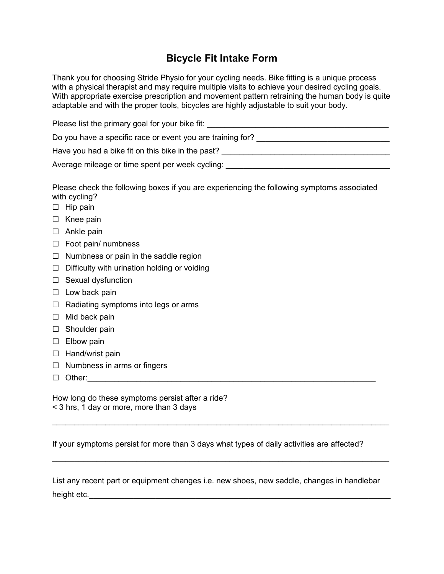## **Bicycle Fit Intake Form**

Thank you for choosing Stride Physio for your cycling needs. Bike fitting is a unique process with a physical therapist and may require multiple visits to achieve your desired cycling goals. With appropriate exercise prescription and movement pattern retraining the human body is quite adaptable and with the proper tools, bicycles are highly adjustable to suit your body.

| Please list the primary goal for your bike fit:            |  |
|------------------------------------------------------------|--|
| Do you have a specific race or event you are training for? |  |
| Have you had a bike fit on this bike in the past?          |  |
| Average mileage or time spent per week cycling:            |  |

Please check the following boxes if you are experiencing the following symptoms associated with cycling?

- □ Hip pain
- ☐ Knee pain
- □ Ankle pain
- ☐ Foot pain/ numbness
- $\Box$  Numbness or pain in the saddle region
- $\Box$  Difficulty with urination holding or voiding
- ☐ Sexual dysfunction
- $\Box$  Low back pain
- ☐ Radiating symptoms into legs or arms
- $\Box$  Mid back pain
- □ Shoulder pain
- □ Elbow pain
- ☐ Hand/wrist pain
- ☐ Numbness in arms or fingers
- $\Box$  Other:

How long do these symptoms persist after a ride? < 3 hrs, 1 day or more, more than 3 days

If your symptoms persist for more than 3 days what types of daily activities are affected?

\_\_\_\_\_\_\_\_\_\_\_\_\_\_\_\_\_\_\_\_\_\_\_\_\_\_\_\_\_\_\_\_\_\_\_\_\_\_\_\_\_\_\_\_\_\_\_\_\_\_\_\_\_\_\_\_\_\_\_\_\_\_\_\_\_\_\_\_\_\_\_\_\_\_\_\_

\_\_\_\_\_\_\_\_\_\_\_\_\_\_\_\_\_\_\_\_\_\_\_\_\_\_\_\_\_\_\_\_\_\_\_\_\_\_\_\_\_\_\_\_\_\_\_\_\_\_\_\_\_\_\_\_\_\_\_\_\_\_\_\_\_\_\_\_\_\_\_\_\_\_\_\_

List any recent part or equipment changes i.e. new shoes, new saddle, changes in handlebar height etc.